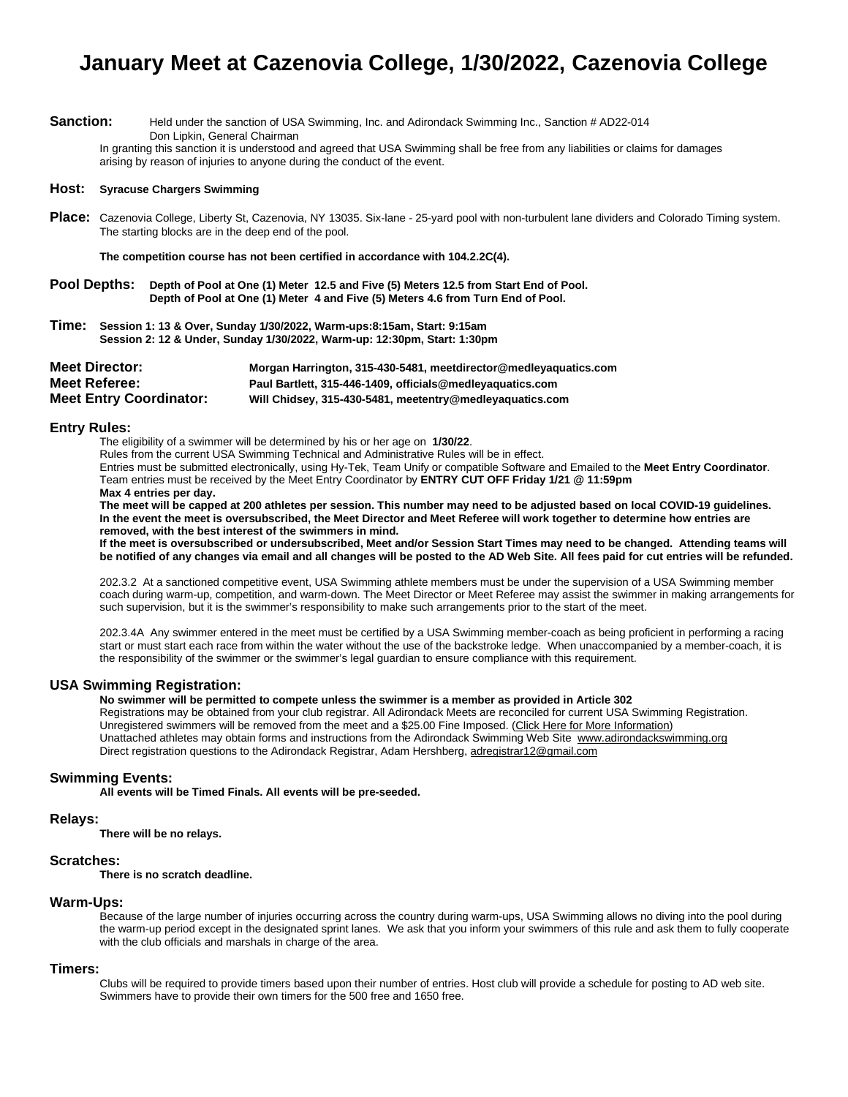## **January Meet at Cazenovia College, 1/30/2022, Cazenovia College**

Sanction: Held under the sanction of USA Swimming, Inc. and Adirondack Swimming Inc., Sanction # AD22-014 Don Lipkin, General Chairman

In granting this sanction it is understood and agreed that USA Swimming shall be free from any liabilities or claims for damages arising by reason of injuries to anyone during the conduct of the event.

#### **Host: Syracuse Chargers Swimming**

**Place:** Cazenovia College, Liberty St, Cazenovia, NY 13035. Six-lane - 25-yard pool with non-turbulent lane dividers and Colorado Timing system. The starting blocks are in the deep end of the pool.

**The competition course has not been certified in accordance with 104.2.2C(4).**

- **Pool Depths: Depth of Pool at One (1) Meter 12.5 and Five (5) Meters 12.5 from Start End of Pool. Depth of Pool at One (1) Meter 4 and Five (5) Meters 4.6 from Turn End of Pool.**
- **Time: Session 1: 13 & Over, Sunday 1/30/2022, Warm-ups:8:15am, Start: 9:15am Session 2: 12 & Under, Sunday 1/30/2022, Warm-up: 12:30pm, Start: 1:30pm**

| <b>Meet Director:</b>          | Morgan Harrington, 315-430-5481, meetdirector@medleyaguatics.com |
|--------------------------------|------------------------------------------------------------------|
| <b>Meet Referee:</b>           | Paul Bartlett, 315-446-1409, officials@medleyaquatics.com        |
| <b>Meet Entry Coordinator:</b> | Will Chidsey, 315-430-5481, meetentry@medleyaquatics.com         |

#### **Entry Rules:**

The eligibility of a swimmer will be determined by his or her age on **1/30/22**.

Rules from the current USA Swimming Technical and Administrative Rules will be in effect.

Entries must be submitted electronically, using Hy-Tek, Team Unify or compatible Software and Emailed to the **Meet Entry Coordinator**. Team entries must be received by the Meet Entry Coordinator by **ENTRY CUT OFF Friday 1/21 @ 11:59pm Max 4 entries per day.**

**The meet will be capped at 200 athletes per session. This number may need to be adjusted based on local COVID-19 guidelines. In the event the meet is oversubscribed, the Meet Director and Meet Referee will work together to determine how entries are removed, with the best interest of the swimmers in mind.**

**If the meet is oversubscribed or undersubscribed, Meet and/or Session Start Times may need to be changed. Attending teams will be notified of any changes via email and all changes will be posted to the AD Web Site. All fees paid for cut entries will be refunded.**

202.3.2 At a sanctioned competitive event, USA Swimming athlete members must be under the supervision of a USA Swimming member coach during warm-up, competition, and warm-down. The Meet Director or Meet Referee may assist the swimmer in making arrangements for such supervision, but it is the swimmer's responsibility to make such arrangements prior to the start of the meet.

202.3.4A Any swimmer entered in the meet must be certified by a USA Swimming member-coach as being proficient in performing a racing start or must start each race from within the water without the use of the backstroke ledge. When unaccompanied by a member-coach, it is the responsibility of the swimmer or the swimmer's legal guardian to ensure compliance with this requirement.

#### **USA Swimming Registration:**

**No swimmer will be permitted to compete unless the swimmer is a member as provided in Article 302**

Registrations may be obtained from your club registrar. All Adirondack Meets are reconciled for current USA Swimming Registration. Unregistered swimmers will be removed from the meet and a \$25.00 Fine Imposed. (Click Here for More Information) Unattached athletes may obtain forms and instructions from the Adirondack Swimming Web Site [www.adirondackswimming.org](http://www.adirondackswimming.org/) Direct registration questions to the Adirondack Registrar, Adam Hershberg[, adregistrar12@gmail.com](mailto:adregistrar12@gmail.com)

#### **Swimming Events:**

**All events will be Timed Finals. All events will be pre-seeded.** 

#### **Relays:**

**There will be no relays.** 

#### **Scratches:**

**There is no scratch deadline.**

#### **Warm-Ups:**

Because of the large number of injuries occurring across the country during warm-ups, USA Swimming allows no diving into the pool during the warm-up period except in the designated sprint lanes. We ask that you inform your swimmers of this rule and ask them to fully cooperate with the club officials and marshals in charge of the area.

#### **Timers:**

Clubs will be required to provide timers based upon their number of entries. Host club will provide a schedule for posting to AD web site. Swimmers have to provide their own timers for the 500 free and 1650 free.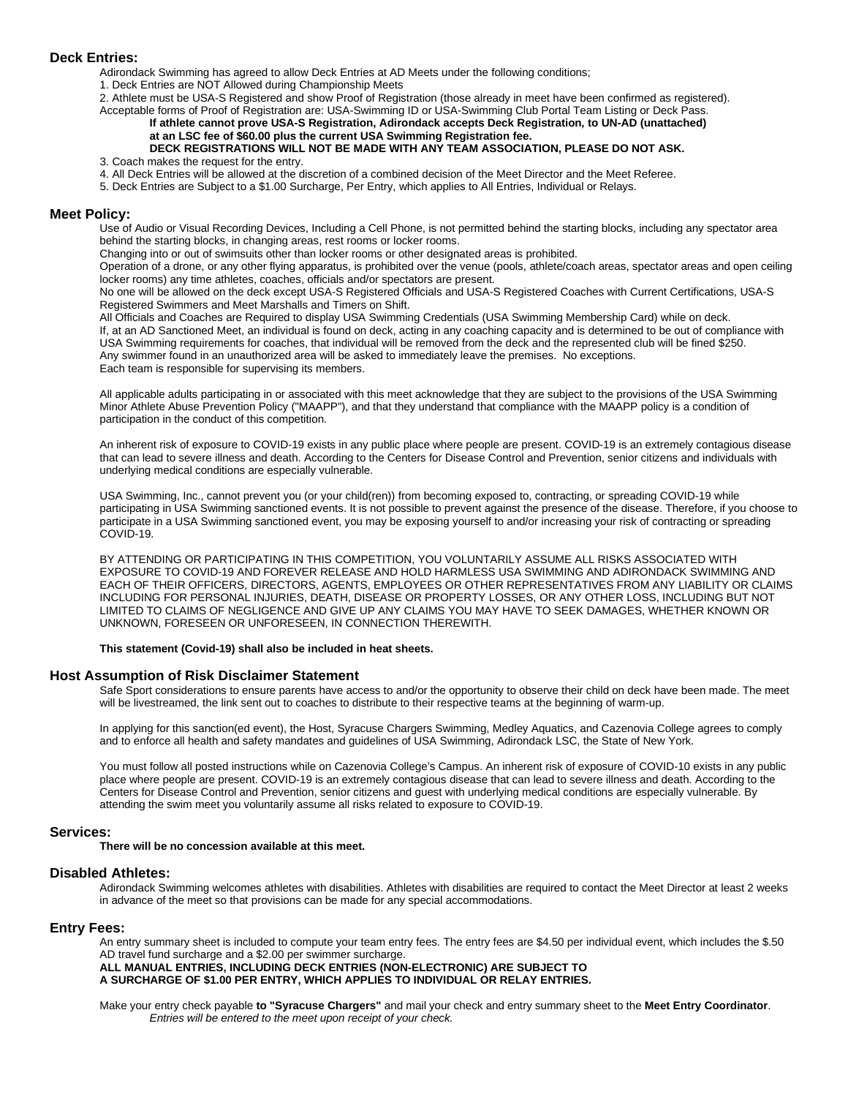#### **Deck Entries:**

Adirondack Swimming has agreed to allow Deck Entries at AD Meets under the following conditions;

1. Deck Entries are NOT Allowed during Championship Meets

2. Athlete must be USA-S Registered and show Proof of Registration (those already in meet have been confirmed as registered). Acceptable forms of Proof of Registration are: USA-Swimming ID or USA-Swimming Club Portal Team Listing or Deck Pass.

#### **If athlete cannot prove USA-S Registration, Adirondack accepts Deck Registration***,* **to UN-AD (unattached) at an LSC fee of \$60.00 plus the current USA Swimming Registration fee.**

#### **DECK REGISTRATIONS WILL NOT BE MADE WITH ANY TEAM ASSOCIATION, PLEASE DO NOT ASK.** 3. Coach makes the request for the entry.

- 4. All Deck Entries will be allowed at the discretion of a combined decision of the Meet Director and the Meet Referee.
- 5. Deck Entries are Subject to a \$1.00 Surcharge, Per Entry, which applies to All Entries, Individual or Relays.

#### **Meet Policy:**

Use of Audio or Visual Recording Devices, Including a Cell Phone, is not permitted behind the starting blocks, including any spectator area behind the starting blocks, in changing areas, rest rooms or locker rooms.

Changing into or out of swimsuits other than locker rooms or other designated areas is prohibited.

Operation of a drone, or any other flying apparatus, is prohibited over the venue (pools, athlete/coach areas, spectator areas and open ceiling locker rooms) any time athletes, coaches, officials and/or spectators are present.

No one will be allowed on the deck except USA-S Registered Officials and USA-S Registered Coaches with Current Certifications, USA-S Registered Swimmers and Meet Marshalls and Timers on Shift.

All Officials and Coaches are Required to display USA Swimming Credentials (USA Swimming Membership Card) while on deck. If, at an AD Sanctioned Meet, an individual is found on deck, acting in any coaching capacity and is determined to be out of compliance with USA Swimming requirements for coaches, that individual will be removed from the deck and the represented club will be fined \$250. Any swimmer found in an unauthorized area will be asked to immediately leave the premises. No exceptions. Each team is responsible for supervising its members.

All applicable adults participating in or associated with this meet acknowledge that they are subject to the provisions of the USA Swimming Minor Athlete Abuse Prevention Policy ("MAAPP"), and that they understand that compliance with the MAAPP policy is a condition of participation in the conduct of this competition.

An inherent risk of exposure to COVID-19 exists in any public place where people are present. COVID-19 is an extremely contagious disease that can lead to severe illness and death. According to the Centers for Disease Control and Prevention, senior citizens and individuals with underlying medical conditions are especially vulnerable.

USA Swimming, Inc., cannot prevent you (or your child(ren)) from becoming exposed to, contracting, or spreading COVID-19 while participating in USA Swimming sanctioned events. It is not possible to prevent against the presence of the disease. Therefore, if you choose to participate in a USA Swimming sanctioned event, you may be exposing yourself to and/or increasing your risk of contracting or spreading COVID-19.

BY ATTENDING OR PARTICIPATING IN THIS COMPETITION, YOU VOLUNTARILY ASSUME ALL RISKS ASSOCIATED WITH EXPOSURE TO COVID-19 AND FOREVER RELEASE AND HOLD HARMLESS USA SWIMMING AND ADIRONDACK SWIMMING AND EACH OF THEIR OFFICERS, DIRECTORS, AGENTS, EMPLOYEES OR OTHER REPRESENTATIVES FROM ANY LIABILITY OR CLAIMS INCLUDING FOR PERSONAL INJURIES, DEATH, DISEASE OR PROPERTY LOSSES, OR ANY OTHER LOSS, INCLUDING BUT NOT LIMITED TO CLAIMS OF NEGLIGENCE AND GIVE UP ANY CLAIMS YOU MAY HAVE TO SEEK DAMAGES, WHETHER KNOWN OR UNKNOWN, FORESEEN OR UNFORESEEN, IN CONNECTION THEREWITH.

**This statement (Covid-19) shall also be included in heat sheets.**

#### **Host Assumption of Risk Disclaimer Statement**

Safe Sport considerations to ensure parents have access to and/or the opportunity to observe their child on deck have been made. The meet will be livestreamed, the link sent out to coaches to distribute to their respective teams at the beginning of warm-up.

In applying for this sanction(ed event), the Host, Syracuse Chargers Swimming, Medley Aquatics, and Cazenovia College agrees to comply and to enforce all health and safety mandates and guidelines of USA Swimming, Adirondack LSC, the State of New York.

You must follow all posted instructions while on Cazenovia College's Campus. An inherent risk of exposure of COVID-10 exists in any public place where people are present. COVID-19 is an extremely contagious disease that can lead to severe illness and death. According to the Centers for Disease Control and Prevention, senior citizens and guest with underlying medical conditions are especially vulnerable. By attending the swim meet you voluntarily assume all risks related to exposure to COVID-19.

#### **Services:**

**There will be no concession available at this meet.** 

#### **Disabled Athletes:**

Adirondack Swimming welcomes athletes with disabilities. Athletes with disabilities are required to contact the Meet Director at least 2 weeks in advance of the meet so that provisions can be made for any special accommodations.

#### **Entry Fees:**

An entry summary sheet is included to compute your team entry fees. The entry fees are \$4.50 per individual event, which includes the \$.50 AD travel fund surcharge and a \$2.00 per swimmer surcharge.

**ALL MANUAL ENTRIES, INCLUDING DECK ENTRIES (NON-ELECTRONIC) ARE SUBJECT TO A SURCHARGE OF \$1.00 PER ENTRY, WHICH APPLIES TO INDIVIDUAL OR RELAY ENTRIES.**

Make your entry check payable **to "Syracuse Chargers"** and mail your check and entry summary sheet to the **Meet Entry Coordinator**. *Entries will be entered to the meet upon receipt of your check.*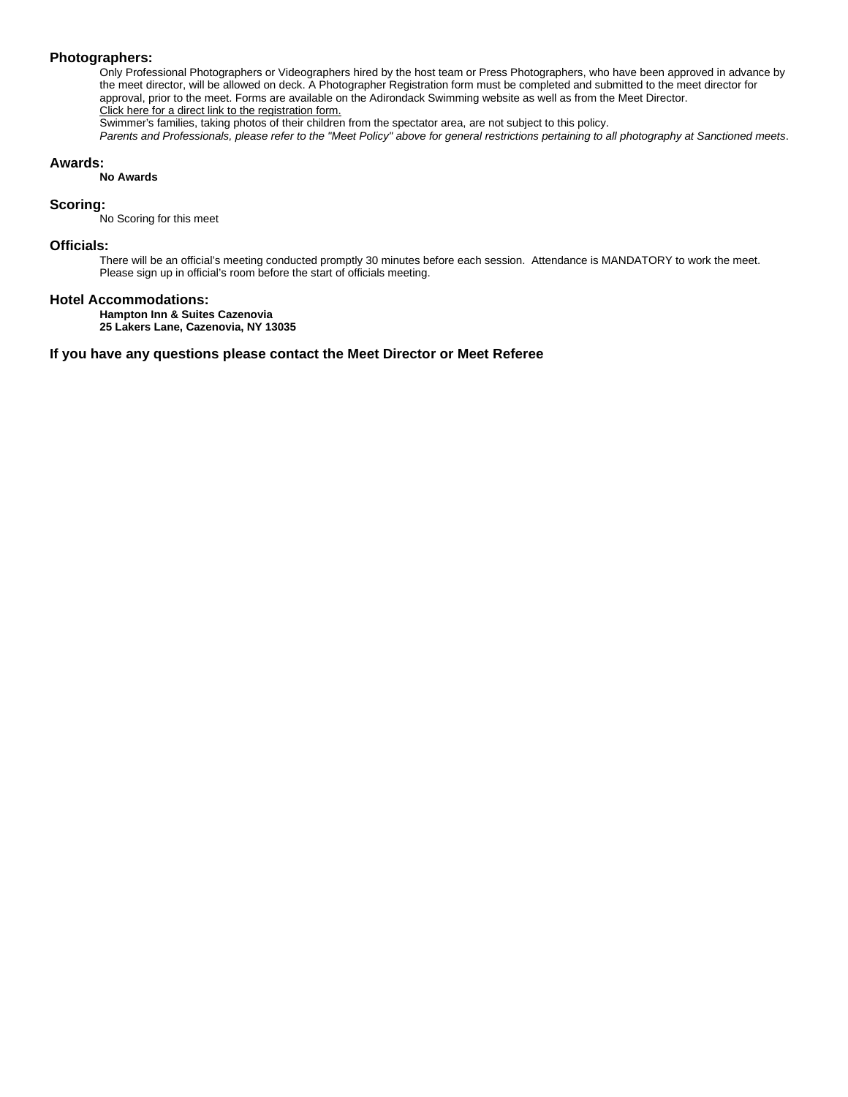#### **Photographers:**

Only Professional Photographers or Videographers hired by the host team or Press Photographers, who have been approved in advance by the meet director, will be allowed on deck. A Photographer Registration form must be completed and submitted to the meet director for approval, prior to the meet. Forms are available on the Adirondack Swimming website as well as from the Meet Director. Click here for a direct link to the registration form.

Swimmer's families, taking photos of their children from the spectator area, are not subject to this policy.

*Parents and Professionals, please refer to the "Meet Policy" above for general restrictions pertaining to all photography at Sanctioned meets*.

#### **Awards:**

**No Awards**

#### **Scoring:**

No Scoring for this meet

#### **Officials:**

There will be an official's meeting conducted promptly 30 minutes before each session. Attendance is MANDATORY to work the meet. Please sign up in official's room before the start of officials meeting.

#### **Hotel Accommodations:**

**Hampton Inn & Suites Cazenovia** 

**25 Lakers Lane, Cazenovia, NY 13035**

#### **If you have any questions please contact the Meet Director or Meet Referee**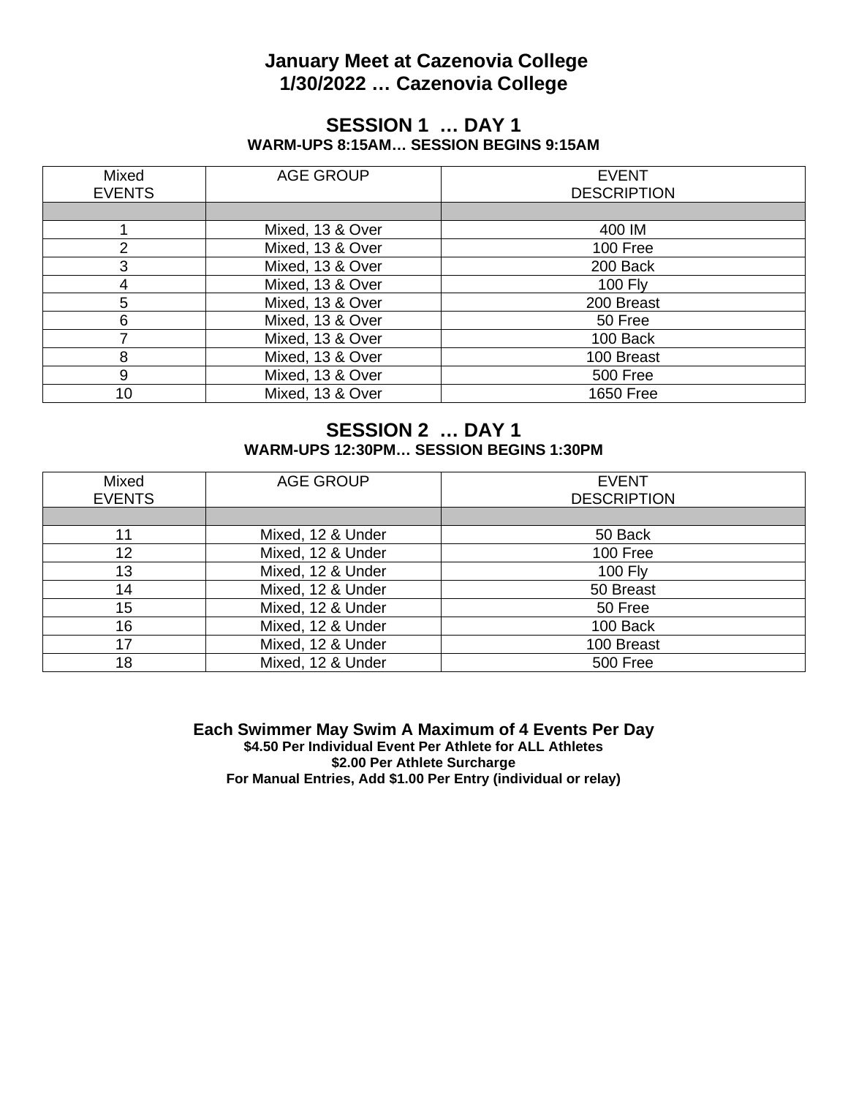## **January Meet at Cazenovia College 1/30/2022 … Cazenovia College**

### **SESSION 1 … DAY 1 WARM-UPS 8:15AM… SESSION BEGINS 9:15AM**

| Mixed<br><b>EVENTS</b> | <b>AGE GROUP</b> | <b>EVENT</b><br><b>DESCRIPTION</b> |
|------------------------|------------------|------------------------------------|
|                        |                  |                                    |
|                        | Mixed, 13 & Over | 400 IM                             |
| $\overline{2}$         | Mixed, 13 & Over | 100 Free                           |
| 3                      | Mixed, 13 & Over | 200 Back                           |
| 4                      | Mixed, 13 & Over | <b>100 Fly</b>                     |
| 5                      | Mixed, 13 & Over | 200 Breast                         |
| 6                      | Mixed, 13 & Over | 50 Free                            |
|                        | Mixed, 13 & Over | 100 Back                           |
| 8                      | Mixed, 13 & Over | 100 Breast                         |
| 9                      | Mixed, 13 & Over | 500 Free                           |
| 10                     | Mixed, 13 & Over | 1650 Free                          |

### **SESSION 2 … DAY 1 WARM-UPS 12:30PM… SESSION BEGINS 1:30PM**

| Mixed<br><b>EVENTS</b> | <b>AGE GROUP</b>  | <b>EVENT</b><br><b>DESCRIPTION</b> |
|------------------------|-------------------|------------------------------------|
|                        |                   |                                    |
| 11                     | Mixed, 12 & Under | 50 Back                            |
| 12                     | Mixed, 12 & Under | 100 Free                           |
| 13                     | Mixed, 12 & Under | <b>100 Fly</b>                     |
| 14                     | Mixed, 12 & Under | 50 Breast                          |
| 15                     | Mixed, 12 & Under | 50 Free                            |
| 16                     | Mixed, 12 & Under | 100 Back                           |
| 17                     | Mixed, 12 & Under | 100 Breast                         |
| 18                     | Mixed, 12 & Under | <b>500 Free</b>                    |

**Each Swimmer May Swim A Maximum of 4 Events Per Day \$4.50 Per Individual Event Per Athlete for ALL Athletes \$2.00 Per Athlete Surcharge For Manual Entries, Add \$1.00 Per Entry (individual or relay)**